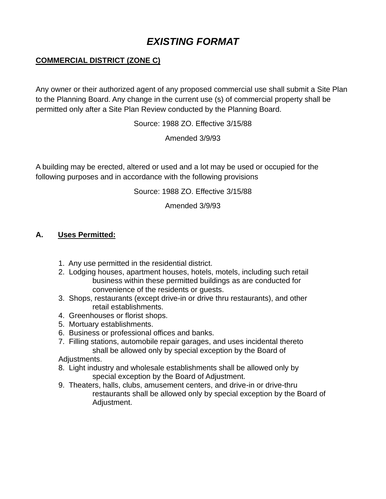# *EXISTING FORMAT*

## **COMMERCIAL DISTRICT (ZONE C)**

Any owner or their authorized agent of any proposed commercial use shall submit a Site Plan to the Planning Board. Any change in the current use (s) of commercial property shall be permitted only after a Site Plan Review conducted by the Planning Board.

Source: 1988 ZO. Effective 3/15/88

Amended 3/9/93

A building may be erected, altered or used and a lot may be used or occupied for the following purposes and in accordance with the following provisions

Source: 1988 ZO. Effective 3/15/88

Amended 3/9/93

### **A. Uses Permitted:**

- 1. Any use permitted in the residential district.
- 2. Lodging houses, apartment houses, hotels, motels, including such retail business within these permitted buildings as are conducted for convenience of the residents or guests.
- 3. Shops, restaurants (except drive-in or drive thru restaurants), and other retail establishments.
- 4. Greenhouses or florist shops.
- 5. Mortuary establishments.
- 6. Business or professional offices and banks.
- 7. Filling stations, automobile repair garages, and uses incidental thereto shall be allowed only by special exception by the Board of

Adjustments.

- 8. Light industry and wholesale establishments shall be allowed only by special exception by the Board of Adjustment.
- 9. Theaters, halls, clubs, amusement centers, and drive-in or drive-thru restaurants shall be allowed only by special exception by the Board of Adjustment.